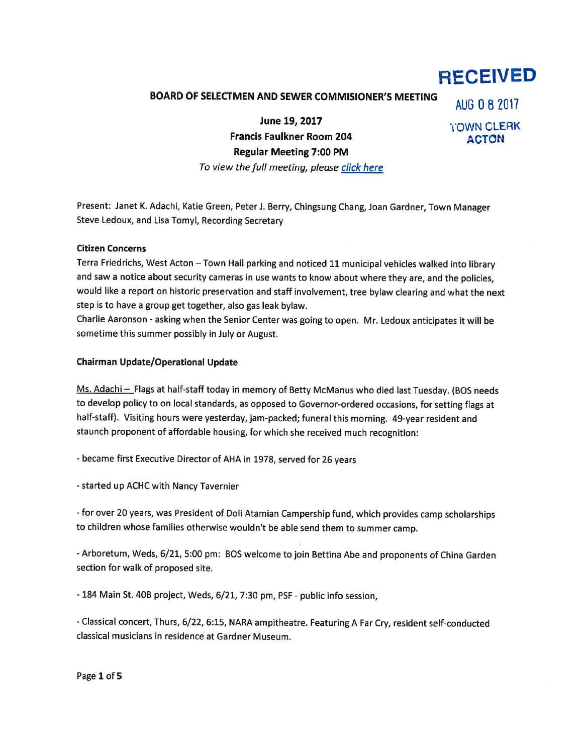# RECEiVED

## BOARD OF SELECTMEN AND SEWER COMMISIONER'S MEETING AUG 0 8 2017

June 19, 2017 **IOWN CLERK** Francis Faulkner Room 204 ACTON Regular Meeting 7:00 PM To view the full meeting, please click here

Present: Janet K. Adachi, Katie Green, Peter J. Berry, Chingsung Chang, Joan Gardner, Town Manager Steve Ledoux, and Lisa Tomyl, Recording Secretary

#### Citizen Concerns

Terra Friedrichs, West Acton —Town Hall parking and noticed <sup>11</sup> municipal vehicles walked into library and saw <sup>a</sup> notice about security cameras in use wants to know about where they are, and the policies, would like <sup>a</sup> repor<sup>t</sup> on historic preservation and staff involvement, tree bylaw clearing and what the next step is to have <sup>a</sup> group ge<sup>t</sup> together, also gas leak bylaw.

Charlie Aaronson - asking when the Senior Center was going to open. Mr. Ledoux anticipates it will be sometime this summer possibly in July or August.

#### Chairman Update/Operational Update

Ms. Adachi - Flags at half-staff today in memory of Betty McManus who died last Tuesday. (BOS needs to develop policy to on local standards, as oppose<sup>d</sup> to Governor-ordered occasions, for setting flags at half-staff). Visiting hours were yesterday, jam-packed; funeral this morning. 49-year resident and staunch proponen<sup>t</sup> of affordable housing, for which she received much recognition:

-became first Executive Director of AHA in 1978, served for <sup>26</sup> years

-started up ACHC with Nancy Tavernier

- for over <sup>20</sup> years, was President of Doli Atamian Campership fund, which provides camp scholarships to children whose families otherwise wouldn't be able send them to summer camp.

-Arboretum, Weds, 6/21, 5:00 pm: BOS welcome to join Bettina Abe and proponents of China Garden section for walk of proposed site.

- 184 Main St. 40B project, Weds, 6/21, 7:30 pm, PSF - public info session,

-Classical concert, Thurs, 6/22, 6:15, NARA ampitheatre. Featuring <sup>A</sup> Far Cry, resident self-conducted classical musicians in residence at Gardner Museum.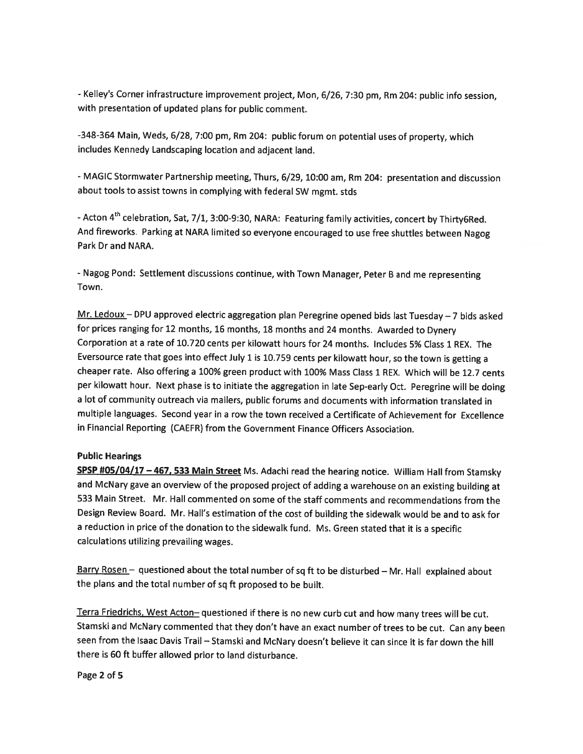-Kelley's Corner infrastructure improvement project, Mon, 6/26, 7:30 pm, Rm 204: public info session, with presentation of updated <sup>p</sup>lans for public comment.

-348-364 Main, Weds, 6/28, 7:00 pm, Rm 204: public forum on potential uses of property, which includes Kennedy Landscaping location and adjacent land.

- MAGIC Stormwater Partnership meeting, Thurs, 6/29, 10:00 am, Rm 204: presentation and discussion about tools to assist towns in complying with federal SW mgmt. stds

- Acton 4<sup>th</sup> celebration, Sat, 7/1, 3:00-9:30, NARA: Featuring family activities, concert by Thirty6Red. And fireworks. Parking at NARA limited so everyone encouraged to use free shuttles between Nagog Park Dr and NARA.

-Nagog Pond: Settlement discussions continue, with Town Manager, Peter <sup>B</sup> and me representing Town.

Mr. Ledoux — DPU approved electric aggregation <sup>p</sup>lan Peregrine opened bids last Tuesday —7 bids asked for prices ranging for <sup>12</sup> months, <sup>16</sup> months, <sup>18</sup> months and <sup>24</sup> months. Awarded to Dynery Corporation at <sup>a</sup> rate of 10.720 cents per kilowatt hours for <sup>24</sup> months. Includes 5% Class <sup>1</sup> REX. The Eversource rate that goes into effect July <sup>1</sup> is 10.759 cents per kilowatt hour, so the town is getting <sup>a</sup> cheaper rate. Also offering <sup>a</sup> 100% green product with 100% Mass Class <sup>1</sup> REX. Which will be 12.7 cents per kilowatt hour. Next <sup>p</sup>hase is to initiate the aggregation in late Sep-early Oct. Peregrine will be doing <sup>a</sup> lot of community outreach via mailers, public forums and documents with information translated in multiple languages. Second year in <sup>a</sup> row the town received <sup>a</sup> Certificate of Achievement for Excellence in Financial Reporting (CAEFR) from the Government Finance Officers Association.

### Public Hearings

SPSP #05/04/17 - 467, 533 Main Street Ms. Adachi read the hearing notice. William Hall from Stamsky and McNary gave an overview of the proposed project of adding <sup>a</sup> warehouse on an existing building at 533 Main Street. Mr. Hall commented on some of the staff comments and recommendations from the Design Review Board. Mr. Hall's estimation of the cost of building the sidewalk would be and to ask for <sup>a</sup> reduction in price of the donation to the sidewalk fund. Ms. Green stated that it is <sup>a</sup> specific calculations utilizing prevailing wages.

Barry Rosen - questioned about the total number of sq ft to be disturbed - Mr. Hall explained about the <sup>p</sup>lans and the total number of sq ft proposed to be built.

Terra Friedrichs, West Acton- questioned if there is no new curb cut and how many trees will be cut. Stamski and McNary commented that they don't have an exact number of trees to be cut. Can any been seen from the Isaac Davis Trail — Stamski and McNary doesn't believe it can since it is far down the hill there is <sup>60</sup> ft buffer allowed prior to land disturbance.

Page 2 of 5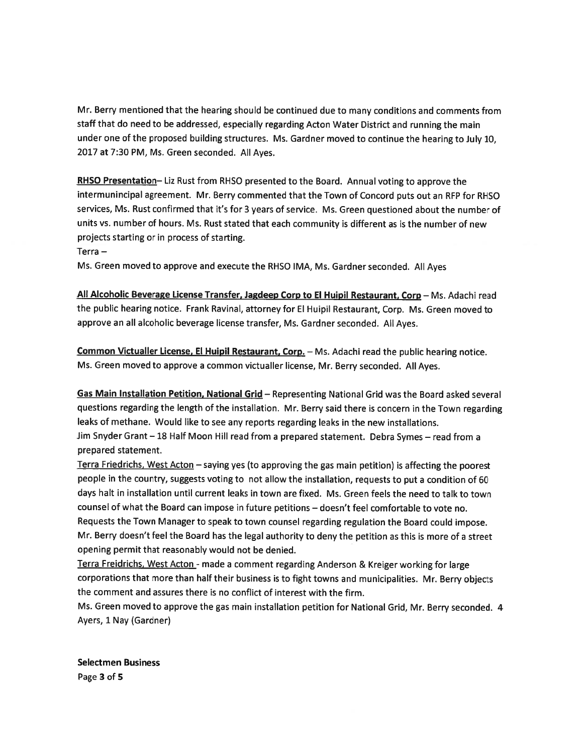Mr. Berry mentioned that the hearing should be continued due to many conditions and comments from staff that do need to be addressed, especially regarding Acton Water District and running the main under one of the propose<sup>d</sup> building structures. Ms. Gardner moved to continue the hearing to July 10, 2017 at 7:30 PM, Ms. Green seconded. All Ayes.

RHSO Presentation-Liz Rust from RHSO presented to the Board. Annual voting to approve the intermunincipal agreement. Mr. Berry commented that the Town of Concord puts out an RFP for RHSO services, Ms. Rust confirmed that it's for <sup>3</sup> years of service. Ms. Green questioned about the number of units vs. number of hours. Ms. Rust stated that each community is different as is the number of new projects starting or in process of starting.

Terra —

Ms. Green moved to approve and execute the RHSO IMA, Ms. Gardner seconded. All Ayes

All Alcoholic Beverage License Transfer, Jagdeep Corp to El Huipil Restaurant. Corp — Ms. Adachi read the public hearing notice. Frank Ravinal, attorney for El Huipil Restaurant, Corp. Ms. Green moved to approve an all alcoholic beverage license transfer, Ms. Gardner seconded. All Ayes.

Common Victualler License, El Huipil Restaurant, Corp. - Ms. Adachi read the public hearing notice. Ms. Green moved to approve <sup>a</sup> common victualler license, Mr. Berry seconded. All Ayes.

Gas Main Installation Petition, National Grid — Representing National Grid was the Board asked several questions regarding the length of the installation. Mr. Berry said there is concern in the Town regarding leaks of methane. Would like to see any reports regarding leaks in the new installations. Jim Snyder Grant — 1\$ Half Moon Hill read from <sup>a</sup> prepare<sup>d</sup> statement. Debra Symes — read from <sup>a</sup> prepared statement.

Terra Friedrichs, West Acton — saying yes (to approving the gas main petition) is affecting the poores<sup>t</sup> people in the country, suggests voting to not allow the installation, requests to pu<sup>t</sup> <sup>a</sup> condition of <sup>60</sup> days halt in installation until current leaks in town are fixed. Ms. Green feels the need to talk to town counsel of what the Board can impose in future petitions — doesn't feel comfortable to vote no. Requests the Town Manager to spea<sup>k</sup> to town counsel regarding regulation the Board could impose. Mr. Berry doesn't feel the Board has the legal authority to deny the petition as this is more of <sup>a</sup> street opening permit that reasonably would not be denied.

Terra Freidrichs, West Acton - made a comment regarding Anderson & Kreiger working for large corporations that more than half their business is to fight towns and municipalities. Mr. Berry objects the comment and assures there is no conflict of interest with the firm.

Ms. Green moved to approve the gas main installation petition for National Grid, Mr. Berry seconded. <sup>4</sup> Ayers, 1 Nay (Gardner)

Selectmen Business Page 3 of 5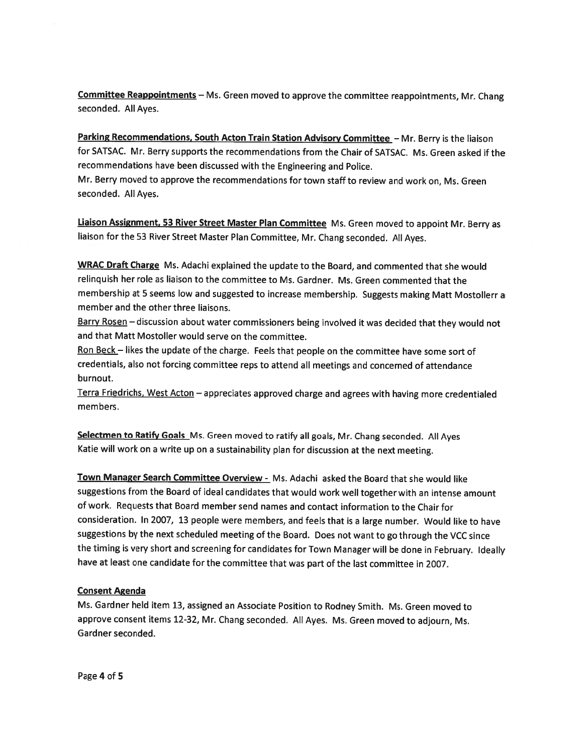Committee Reappointments - Ms. Green moved to approve the committee reappointments, Mr. Chang seconded. All Ayes.

Parking Recommendations, South Acton Train Station Advisory Committee - Mr. Berry is the liaison for SATSAC. Mr. Berry supports the recommendations from the Chair of SATSAC. Ms. Green asked if the recommendations have been discussed with the Engineering and Police.

Mr. Berry moved to approve the recommendations for town staff to review and work on, Ms. Green seconded. All Ayes.

Liaison Assignment, 53 River Street Master Plan Committee Ms. Green moved to appoint Mr. Berry as liaison for the <sup>53</sup> River Street Master Plan Committee, Mr. Chang seconded. All Ayes.

WRAC Draft Charge Ms. Adachi explained the update to the Board, and commented that she would relinquish her role as liaison to the committee to Ms. Gardner. Ms. Green commented that the membership at <sup>5</sup> seems low and suggested to increase membership. Suggests making Matt Mostollerr <sup>a</sup> member and the other three liaisons.

Barry Rosen - discussion about water commissioners being involved it was decided that they would not and that Matt Mostoller would serve on the committee.

Ron Beck - likes the update of the charge. Feels that people on the committee have some sort of credentials, also not forcing committee reps to attend all meetings and concerned of attendance burnout.

Terra Friedrichs, West Acton — appreciates approved charge and agrees with having more credentialed members.

Selectmen to Ratify Goals Ms. Green moved to ratify all goals, Mr. Chang seconded. All Ayes Katie will work on <sup>a</sup> write up on <sup>a</sup> sustainability <sup>p</sup>lan for discussion at the next meeting.

Town Manager Search Committee Overview - Ms. Adachi asked the Board that she would like suggestions from the Board of ideal candidates that would work well together with an intense amount of work. Requests that Board member send names and contact information to the Chair for consideration. In 2007, <sup>13</sup> people were members, and feels that is <sup>a</sup> large number. Would like to have suggestions by the next scheduled meeting of the Board. Does not want to go through the VCC since the timing is very short and screening for candidates for Town Manager will be done in February. Ideally have at least one candidate for the committee that was part of the last committee in 2007.

### Consent Agenda

Ms. Gardner held item 13, assigned an Associate Position to Rodney Smith. Ms. Green moved to approve consent items 12-32, Mr. Chang seconded. All Ayes. Ms. Green moved to adjourn, Ms. Gardner seconded.